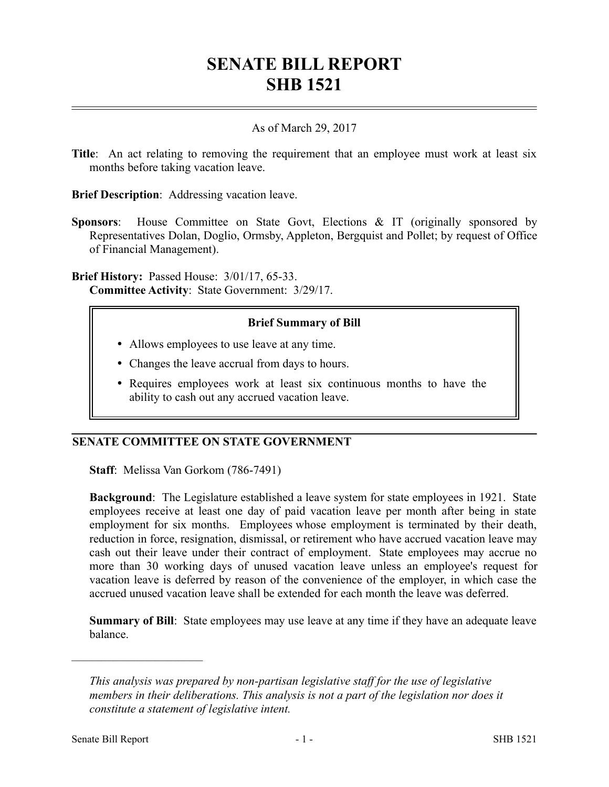# **SENATE BILL REPORT SHB 1521**

#### As of March 29, 2017

**Title:** An act relating to removing the requirement that an employee must work at least six months before taking vacation leave.

**Brief Description**: Addressing vacation leave.

**Sponsors**: House Committee on State Govt, Elections & IT (originally sponsored by Representatives Dolan, Doglio, Ormsby, Appleton, Bergquist and Pollet; by request of Office of Financial Management).

**Brief History:** Passed House: 3/01/17, 65-33. **Committee Activity**: State Government: 3/29/17.

## **Brief Summary of Bill**

- Allows employees to use leave at any time.
- Changes the leave accrual from days to hours.
- Requires employees work at least six continuous months to have the ability to cash out any accrued vacation leave.

## **SENATE COMMITTEE ON STATE GOVERNMENT**

**Staff**: Melissa Van Gorkom (786-7491)

**Background**: The Legislature established a leave system for state employees in 1921. State employees receive at least one day of paid vacation leave per month after being in state employment for six months. Employees whose employment is terminated by their death, reduction in force, resignation, dismissal, or retirement who have accrued vacation leave may cash out their leave under their contract of employment. State employees may accrue no more than 30 working days of unused vacation leave unless an employee's request for vacation leave is deferred by reason of the convenience of the employer, in which case the accrued unused vacation leave shall be extended for each month the leave was deferred.

**Summary of Bill**: State employees may use leave at any time if they have an adequate leave balance.

––––––––––––––––––––––

*This analysis was prepared by non-partisan legislative staff for the use of legislative members in their deliberations. This analysis is not a part of the legislation nor does it constitute a statement of legislative intent.*